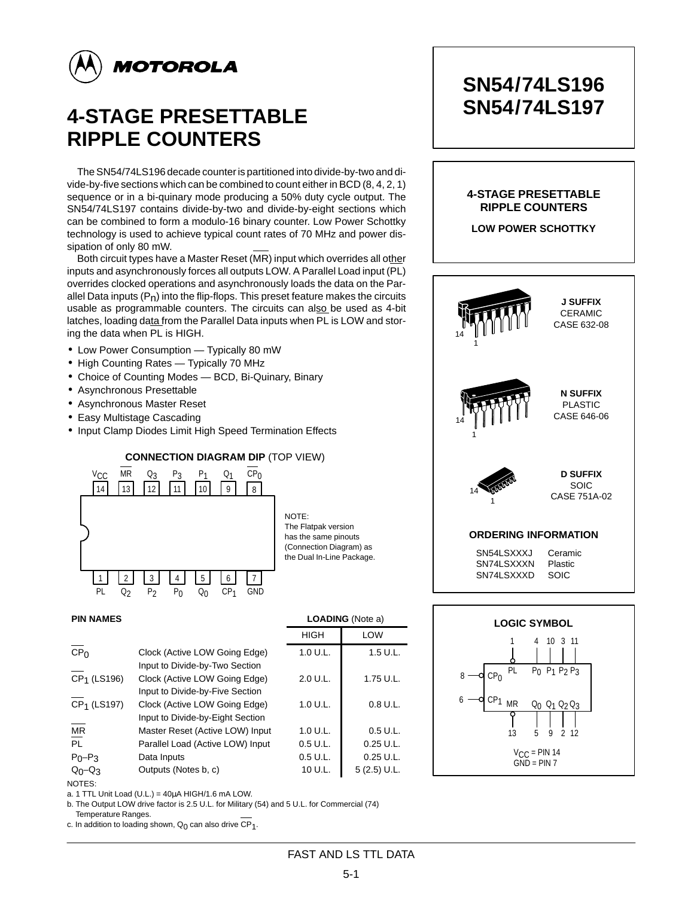

# **4-STAGE PRESETTABLE RIPPLE COUNTERS**

The SN54/74LS196 decade counter is partitioned into divide-by-two and divide-by-five sections which can be combined to count either in BCD (8, 4, 2, 1) sequence or in a bi-quinary mode producing a 50% duty cycle output. The SN54/74LS197 contains divide-by-two and divide-by-eight sections which can be combined to form a modulo-16 binary counter. Low Power Schottky technology is used to achieve typical count rates of 70 MHz and power dissipation of only 80 mW.

Both circuit types have a Master Reset (MR) input which overrides all other inputs and asynchronously forces all outputs LOW. A Parallel Load input (PL) overrides clocked operations and asynchronously loads the data on the Parallel Data inputs  $(P_n)$  into the flip-flops. This preset feature makes the circuits usable as programmable counters. The circuits can also be used as 4-bit latches, loading data from the Parallel Data inputs when PL is LOW and storing the data when PL is HIGH.

- Low Power Consumption Typically 80 mW
- High Counting Rates Typically 70 MHz
- Choice of Counting Modes BCD, Bi-Quinary, Binary
- Asynchronous Presettable
- Asynchronous Master Reset
- Easy Multistage Cascading
- Input Clamp Diodes Limit High Speed Termination Effects



| <b>PIN NAMES</b>        |                                                                   |             | <b>LOADING</b> (Note a) |  |  |
|-------------------------|-------------------------------------------------------------------|-------------|-------------------------|--|--|
|                         |                                                                   | <b>HIGH</b> | LOW                     |  |  |
| CP <sub>0</sub>         | Clock (Active LOW Going Edge)<br>Input to Divide-by-Two Section   | 1.0 U.L.    | 1.5 U.L.                |  |  |
| CP <sub>1</sub> (LS196) | Clock (Active LOW Going Edge)<br>Input to Divide-by-Five Section  | 2.0 U.L.    | 1.75 U.L.               |  |  |
| CP <sub>1</sub> (LS197) | Clock (Active LOW Going Edge)<br>Input to Divide-by-Eight Section | 1.0 U.L.    | 0.8 U.L.                |  |  |
| ΜR                      | Master Reset (Active LOW) Input                                   | 1.0 U.L.    | $0.5$ U.L.              |  |  |
| $\overline{PL}$         | Parallel Load (Active LOW) Input                                  | 0.5 U.L.    | $0.25$ U.L.             |  |  |
| $P_0 - P_3$             | Data Inputs                                                       | $0.5$ U.L.  | $0.25$ U.L.             |  |  |
| $Q_0$ - $Q_3$           | Outputs (Notes b, c)                                              | 10 U.L.     | $5(2.5)$ U.L.           |  |  |

NOTES: a. 1 TTL Unit Load (U.L.) =  $40\mu$ A HIGH/1.6 mA LOW.

b. The Output LOW drive factor is 2.5 U.L. for Military (54) and 5 U.L. for Commercial (74)

b. Temperature Ranges. c. In addition to loading shown,  $Q_0$  can also drive  $CP_1$ .

# **SN54/74LS196 SN54/74LS197**

### **4-STAGE PRESETTABLE RIPPLE COUNTERS**

**LOW POWER SCHOTTKY**





FAST AND LS TTL DATA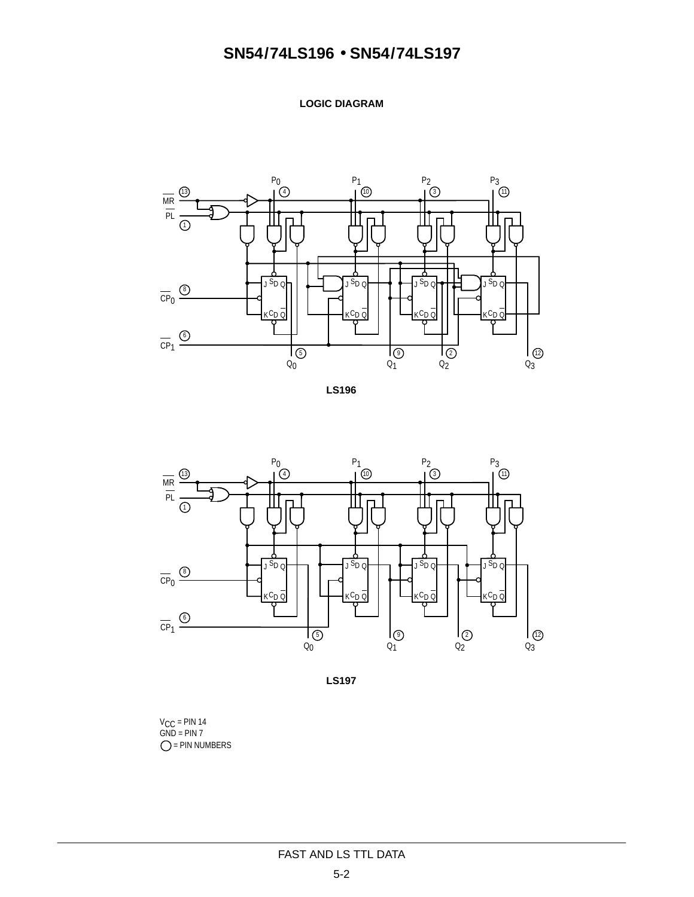**LOGIC DIAGRAM**







**LS197**

V<sub>CC</sub> = PIN 14<br>GND = PIN 7  $O = PIN NUMBERS$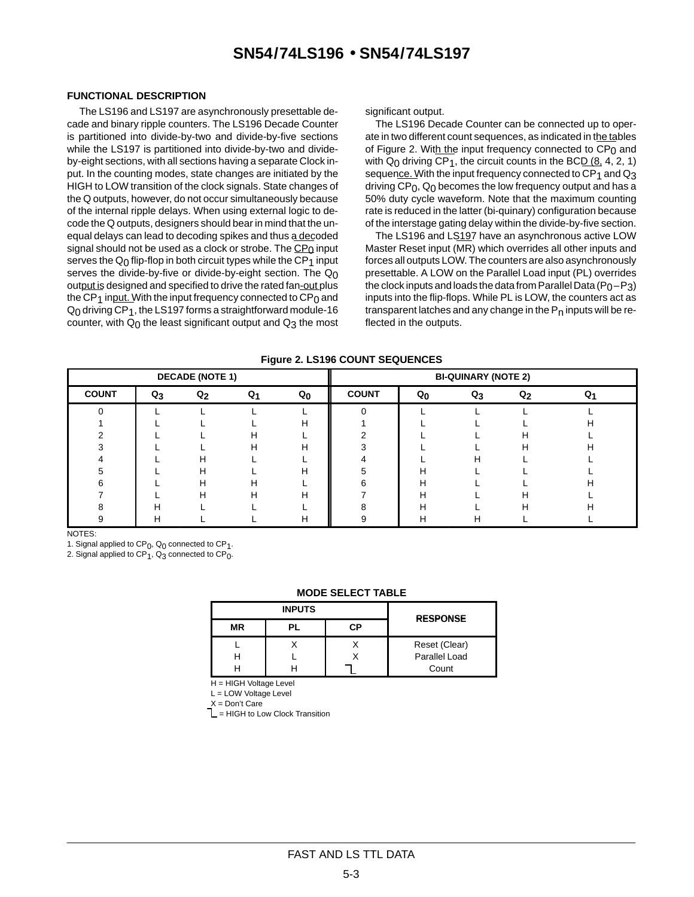#### **FUNCTIONAL DESCRIPTION**

 The LS196 and LS197 are asynchronously presettable decade and binary ripple counters. The LS196 Decade Counter is partitioned into divide-by-two and divide-by-five sections while the LS197 is partitioned into divide-by-two and divideby-eight sections, with all sections having a separate Clock input. In the counting modes, state changes are initiated by the HIGH to LOW transition of the clock signals. State changes of the Q outputs, however, do not occur simultaneously because of the internal ripple delays. When using external logic to decode the Q outputs, designers should bear in mind that the unequal delays can lead to decoding spikes and thus a decoded signal should not be used as a clock or strobe. The  $CP<sub>0</sub>$  input serves the  $Q_0$  flip-flop in both circuit types while the  $CP_1$  input serves the divide-by-five or divide-by-eight section. The  $Q_0$ output is designed and specified to drive the rated fan-out plus the CP<sub>1</sub> input. With the input frequency connected to  $CP<sub>0</sub>$  and  $Q<sub>0</sub>$  driving CP<sub>1</sub>, the LS197 forms a straightforward module-16 counter, with  $Q_0$  the least significant output and  $Q_3$  the most significant output.

The LS196 Decade Counter can be connected up to operate in two different count sequences, as indicated in the tables of Figure 2. With the input frequency connected to  $CP<sub>0</sub>$  and with  $Q_0$  driving CP<sub>1</sub>, the circuit counts in the BCD  $(8, 4, 2, 1)$ sequence. With the input frequency connected to CP<sub>1</sub> and Q<sub>3</sub> driving CP<sub>0</sub>, Q<sub>0</sub> becomes the low frequency output and has a 50% duty cycle waveform. Note that the maximum counting rate is reduced in the latter (bi-quinary) configuration because of the interstage gating delay within the divide-by-five section.

The LS196 and LS197 have an asynchronous active LOW Master Reset input (MR) which overrides all other inputs and forces all outputs LOW. The counters are also asynchronously presettable. A LOW on the Parallel Load input (PL) overrides the clock inputs and loads the data from Parallel Data ( $P_0-P_3$ ) inputs into the flip-flops. While PL is LOW, the counters act as transparent latches and any change in the  $P<sub>n</sub>$  inputs will be reflected in the outputs.

| <b>DECADE (NOTE 1)</b> |                |       |                | <b>BI-QUINARY (NOTE 2)</b> |              |         |       |       |                |
|------------------------|----------------|-------|----------------|----------------------------|--------------|---------|-------|-------|----------------|
| <b>COUNT</b>           | Q <sub>3</sub> | $Q_2$ | Q <sub>1</sub> | $Q_{0}$                    | <b>COUNT</b> | $Q_{0}$ | $Q_3$ | $Q_2$ | Q <sub>1</sub> |
| $\Omega$               |                |       |                |                            |              |         |       |       |                |
|                        |                |       |                | н                          |              |         |       |       |                |
|                        |                |       | н              |                            |              |         |       | н     |                |
|                        |                |       | н              | н                          |              |         |       | н     |                |
|                        |                | н     |                |                            |              |         | н     |       |                |
| 5                      |                | н     |                | н                          |              | н       |       |       |                |
| ิค                     |                | Н     | н              |                            |              | н       |       |       |                |
|                        |                | н     | н              | н                          |              | Н       |       | н     |                |
|                        |                |       |                |                            |              | Н       |       | н     |                |
|                        | н              |       |                | H                          |              | н       | н     |       |                |

**Figure 2. LS196 COUNT SEQUENCES**

NOTES:

1. Signal applied to  $CP<sub>0</sub>$ ,  $Q<sub>0</sub>$  connected to  $CP<sub>1</sub>$ .

2. Signal applied to  $CP_1$ ,  $Q_3$  connected to  $CP_0$ .

#### **MODE SELECT TABLE**

|    | <b>INPUTS</b> |     | <b>RESPONSE</b> |
|----|---------------|-----|-----------------|
| ΜR | ÞГ            | C.P |                 |
|    |               |     | Reset (Clear)   |
|    |               |     | Parallel Load   |
|    |               |     | Count           |

H = HIGH Voltage Level

L = LOW Voltage Level

 $X = Don't Care$ 

 $L = HIGH$  to Low Clock Transition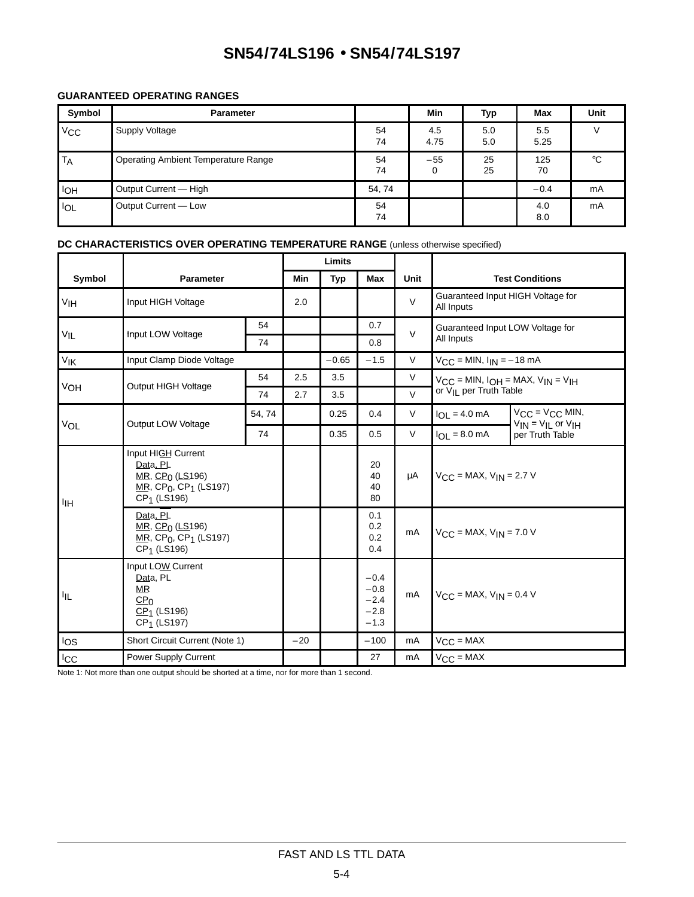### **GUARANTEED OPERATING RANGES**

| Symbol     | <b>Parameter</b>                           |          | <b>Min</b>  | Typ        | Max         | <b>Unit</b> |
|------------|--------------------------------------------|----------|-------------|------------|-------------|-------------|
| $V_{CC}$   | Supply Voltage                             | 54<br>74 | 4.5<br>4.75 | 5.0<br>5.0 | 5.5<br>5.25 |             |
| TA         | <b>Operating Ambient Temperature Range</b> | 54<br>74 | $-55$<br>0  | 25<br>25   | 125<br>70   | $^{\circ}C$ |
| <b>IOH</b> | Output Current — High                      | 54,74    |             |            | $-0.4$      | mA          |
| <b>IOL</b> | Output Current - Low                       | 54<br>74 |             |            | 4.0<br>8.0  | mA          |

### **DC CHARACTERISTICS OVER OPERATING TEMPERATURE RANGE** (unless otherwise specified)

|                 |                                                                                                                                                              |       | Limits |            |                                                |        |                                                     |                                                         |  |
|-----------------|--------------------------------------------------------------------------------------------------------------------------------------------------------------|-------|--------|------------|------------------------------------------------|--------|-----------------------------------------------------|---------------------------------------------------------|--|
| Symbol          | <b>Parameter</b>                                                                                                                                             |       | Min    | <b>Typ</b> | Max                                            | Unit   |                                                     | <b>Test Conditions</b>                                  |  |
| V <sub>IH</sub> | Input HIGH Voltage                                                                                                                                           |       | 2.0    |            |                                                | $\vee$ | Guaranteed Input HIGH Voltage for<br>All Inputs     |                                                         |  |
| $V_{IL}$        | Input LOW Voltage                                                                                                                                            | 54    |        |            | 0.7                                            | $\vee$ | Guaranteed Input LOW Voltage for                    |                                                         |  |
|                 |                                                                                                                                                              | 74    |        |            | 0.8                                            |        | All Inputs                                          |                                                         |  |
| VIK             | Input Clamp Diode Voltage                                                                                                                                    |       |        | $-0.65$    | $-1.5$                                         | V      | $V_{\text{C}}C$ = MIN, $I_{\text{IN}}$ = -18 mA     |                                                         |  |
|                 | Output HIGH Voltage                                                                                                                                          | 54    | 2.5    | 3.5        |                                                | V      | $V_{CC}$ = MIN, $I_{OH}$ = MAX, $V_{IN}$ = $V_{IH}$ |                                                         |  |
| VOH             |                                                                                                                                                              | 74    | 2.7    | 3.5        |                                                | $\vee$ | or V <sub>II</sub> per Truth Table                  |                                                         |  |
|                 |                                                                                                                                                              | 54,74 |        | 0.25       | 0.4                                            | V      | $I_{OL} = 4.0$ mA                                   | $V_{CC} = V_{CC}$ MIN,<br>$V_{IN} = V_{IL}$ or $V_{IH}$ |  |
| VOL             | Output LOW Voltage                                                                                                                                           | 74    |        | 0.35       | 0.5                                            | V      | $I_{\text{OI}} = 8.0 \text{ mA}$                    | per Truth Table                                         |  |
| ЧH              | Input HIGH Current<br>Data, PL<br>$MR$ , CP <sub>0</sub> (LS <sub>196</sub> )<br>$MR$ , CP <sub>0</sub> , CP <sub>1</sub> (LS197)<br>CP <sub>1</sub> (LS196) |       |        |            | 20<br>40<br>40<br>80                           | μA     | $V_{CC}$ = MAX, $V_{IN}$ = 2.7 V                    |                                                         |  |
|                 | Data, PL<br>MR, $CP0$ (LS196)<br>$MR$ , CP <sub>0</sub> , CP <sub>1</sub> (LS197)<br>CP <sub>1</sub> (LS196)                                                 |       |        |            | 0.1<br>0.2<br>0.2<br>0.4                       | mA     | $V_{\text{C}}$ C = MAX, $V_{\text{IN}}$ = 7.0 V     |                                                         |  |
| ĪЩ              | Input LOW Current<br>Data, PL<br>MR.<br>CP <sub>0</sub><br>$CP1$ (LS196)<br>CP <sub>1</sub> (LS197)                                                          |       |        |            | $-0.4$<br>$-0.8$<br>$-2.4$<br>$-2.8$<br>$-1.3$ | mA     | $V_{CC}$ = MAX, $V_{IN}$ = 0.4 V                    |                                                         |  |
| los             | Short Circuit Current (Note 1)                                                                                                                               |       | $-20$  |            | $-100$                                         | mA     | $V_{CC} = MAX$                                      |                                                         |  |
| <b>ICC</b>      | <b>Power Supply Current</b>                                                                                                                                  |       |        |            | 27                                             | mA     | $V_{CC} = MAX$                                      |                                                         |  |

Note 1: Not more than one output should be shorted at a time, nor for more than 1 second.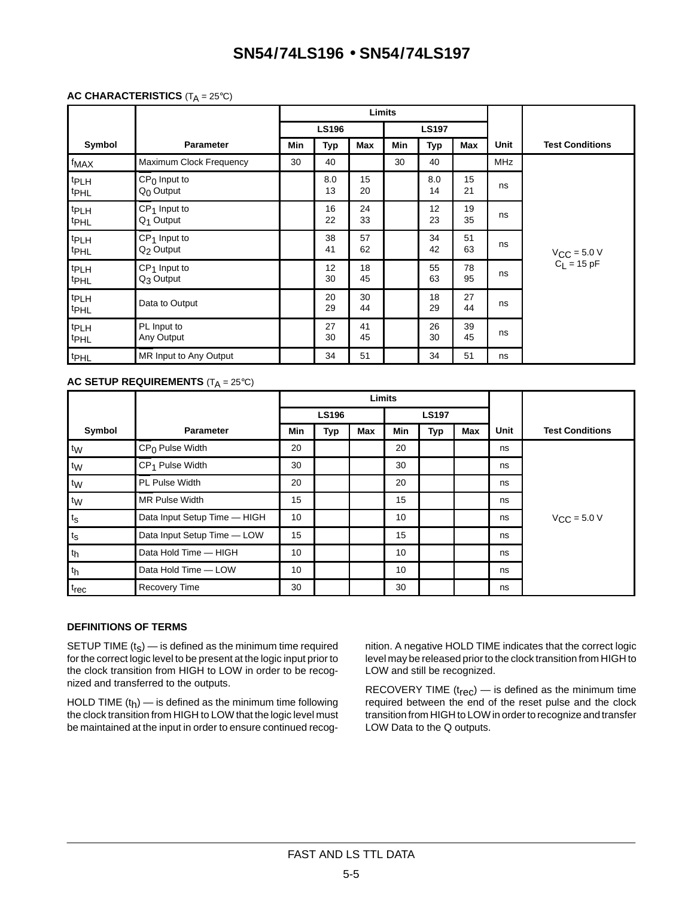### **AC CHARACTERISTICS** (T<sub>A</sub> = 25°C)

|                                      |                                         |     |              |          | Limits |              |          |             |                                                           |
|--------------------------------------|-----------------------------------------|-----|--------------|----------|--------|--------------|----------|-------------|-----------------------------------------------------------|
|                                      |                                         |     | <b>LS196</b> |          |        | <b>LS197</b> |          |             |                                                           |
| Symbol                               | <b>Parameter</b>                        | Min | Typ          | Max      | Min    | Typ          | Max      | <b>Unit</b> | <b>Test Conditions</b>                                    |
| f <sub>MAX</sub>                     | Maximum Clock Frequency                 | 30  | 40           |          | 30     | 40           |          | <b>MHz</b>  |                                                           |
| <sup>t</sup> PLH<br><b>tPHL</b>      | $CP0$ Input to<br>$Q_0$ Output          |     | 8.0<br>13    | 15<br>20 |        | 8.0<br>14    | 15<br>21 | ns          |                                                           |
| <b>tPLH</b><br><b>tPHL</b>           | $CP1$ Input to<br>$Q_1$ Output          |     | 16<br>22     | 24<br>33 |        | 12<br>23     | 19<br>35 | ns          |                                                           |
| t <sub>PLH</sub><br><b>t</b> PHL     | $CP1$ Input to<br>Q <sub>2</sub> Output |     | 38<br>41     | 57<br>62 |        | 34<br>42     | 51<br>63 | ns          | $V_{\text{CC}} = 5.0 \text{ V}$<br>C <sub>L</sub> = 15 pF |
| t <sub>PLH</sub><br><b>tPHL</b>      | $CP1$ Input to<br>Q <sub>3</sub> Output |     | 12<br>30     | 18<br>45 |        | 55<br>63     | 78<br>95 | ns          |                                                           |
| <b>tPLH</b><br><sup>t</sup> PHL      | Data to Output                          |     | 20<br>29     | 30<br>44 |        | 18<br>29     | 27<br>44 | ns          |                                                           |
| t <sub>PLH</sub><br><sup>t</sup> PHL | PL Input to<br>Any Output               |     | 27<br>30     | 41<br>45 |        | 26<br>30     | 39<br>45 | ns          |                                                           |
| t <sub>PHL</sub>                     | MR Input to Any Output                  |     | 34           | 51       |        | 34           | 51       | ns          |                                                           |

#### **AC SETUP REQUIREMENTS** (T<sub>A</sub> = 25°C)

|                  |                              | Limits |              |            |            |              |            |      |                        |
|------------------|------------------------------|--------|--------------|------------|------------|--------------|------------|------|------------------------|
|                  |                              |        | <b>LS196</b> |            |            | <b>LS197</b> |            |      |                        |
| Symbol           | <b>Parameter</b>             | Min    | <b>Typ</b>   | <b>Max</b> | <b>Min</b> | <b>Typ</b>   | <b>Max</b> | Unit | <b>Test Conditions</b> |
| tw               | $CP0$ Pulse Width            | 20     |              |            | 20         |              |            | ns   |                        |
| t <sub>W</sub>   | CP <sub>1</sub> Pulse Width  | 30     |              |            | 30         |              |            | ns   |                        |
| t <sub>W</sub>   | PL Pulse Width               | 20     |              |            | 20         |              |            | ns   |                        |
| tw               | MR Pulse Width               | 15     |              |            | 15         |              |            | ns   |                        |
| $t_{\rm S}$      | Data Input Setup Time - HIGH | 10     |              |            | 10         |              |            | ns   | $V_{CC}$ = 5.0 V       |
| $t_{\rm S}$      | Data Input Setup Time - LOW  | 15     |              |            | 15         |              |            | ns   |                        |
| th               | Data Hold Time - HIGH        | 10     |              |            | 10         |              |            | ns   |                        |
| th               | Data Hold Time - LOW         | 10     |              |            | 10         |              |            | ns   |                        |
| t <sub>rec</sub> | <b>Recovery Time</b>         | 30     |              |            | 30         |              |            | ns   |                        |

### **DEFINITIONS OF TERMS**

SETUP TIME  $(t<sub>S</sub>)$  — is defined as the minimum time required for the correct logic level to be present at the logic input prior to the clock transition from HIGH to LOW in order to be recognized and transferred to the outputs.

HOLD TIME  $(t_h)$  — is defined as the minimum time following the clock transition from HIGH to LOW that the logic level must be maintained at the input in order to ensure continued recognition. A negative HOLD TIME indicates that the correct logic level may be released prior to the clock transition from HIGH to LOW and still be recognized.

RECOVERY TIME  $(t_{rec})$  — is defined as the minimum time required between the end of the reset pulse and the clock transition from HIGH to LOW in order to recognize and transfer LOW Data to the Q outputs.